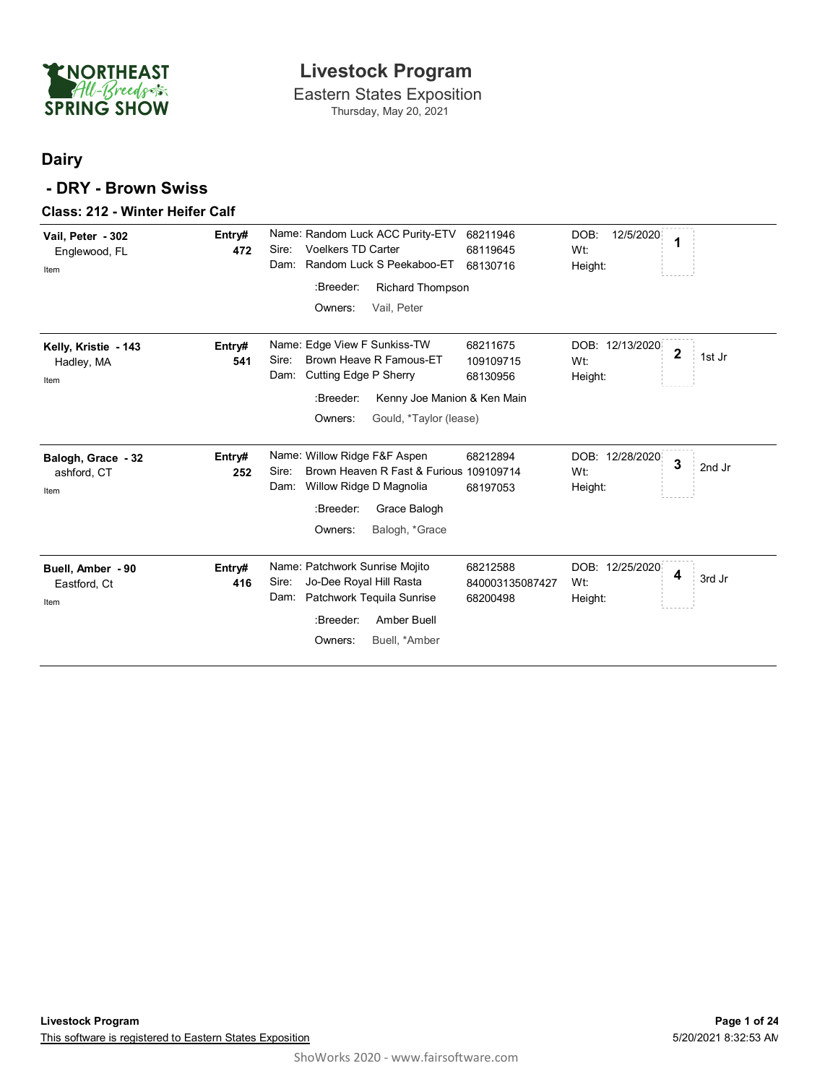

### Eastern States Exposition **Livestock Program**

Thursday, May 20, 2021

### **Dairy**

#### **- DRY - Brown Swiss**

#### **Class: 212 - Winter Heifer Calf**

| Vail, Peter - 302<br>Englewood, FL<br>Item | Entry#<br>472 | Name: Random Luck ACC Purity-ETV<br>68211946<br>DOB:<br>12/5/2020<br>1<br><b>Voelkers TD Carter</b><br>Sire:<br>68119645<br>Wt:<br>Random Luck S Peekaboo-ET<br>Dam:<br>68130716<br>Height:<br>:Breeder:<br><b>Richard Thompson</b><br>Owners:<br>Vail, Peter                                     |  |
|--------------------------------------------|---------------|---------------------------------------------------------------------------------------------------------------------------------------------------------------------------------------------------------------------------------------------------------------------------------------------------|--|
| Kelly, Kristie - 143<br>Hadley, MA<br>Item | Entry#<br>541 | Name: Edge View F Sunkiss-TW<br>DOB: 12/13/2020<br>68211675<br>$\overline{\mathbf{2}}$<br>1st Jr<br>Brown Heave R Famous-ET<br>Sire:<br>109109715<br>Wt:<br>Cutting Edge P Sherry<br>Dam:<br>68130956<br>Height:<br>:Breeder:<br>Kenny Joe Manion & Ken Main<br>Owners:<br>Gould, *Taylor (lease) |  |
| Balogh, Grace - 32<br>ashford, CT<br>Item  | Entry#<br>252 | Name: Willow Ridge F&F Aspen<br>68212894<br>DOB: 12/28/2020<br>3<br>2nd Jr<br>Sire:<br>Brown Heaven R Fast & Furious 109109714<br>Wt:<br>Willow Ridge D Magnolia<br>Dam:<br>68197053<br>Height:<br>:Breeder:<br>Grace Balogh<br>Owners:<br>Balogh, *Grace                                         |  |
| Buell, Amber - 90<br>Eastford, Ct<br>Item  | Entry#<br>416 | Name: Patchwork Sunrise Mojito<br>68212588<br>DOB: 12/25/2020<br>4<br>3rd Jr<br>Sire:<br>Jo-Dee Royal Hill Rasta<br>840003135087427<br>Wt:<br>Dam:<br>Patchwork Tequila Sunrise<br>68200498<br>Height:<br>:Breeder:<br>Amber Buell<br>Owners:<br>Buell, *Amber                                    |  |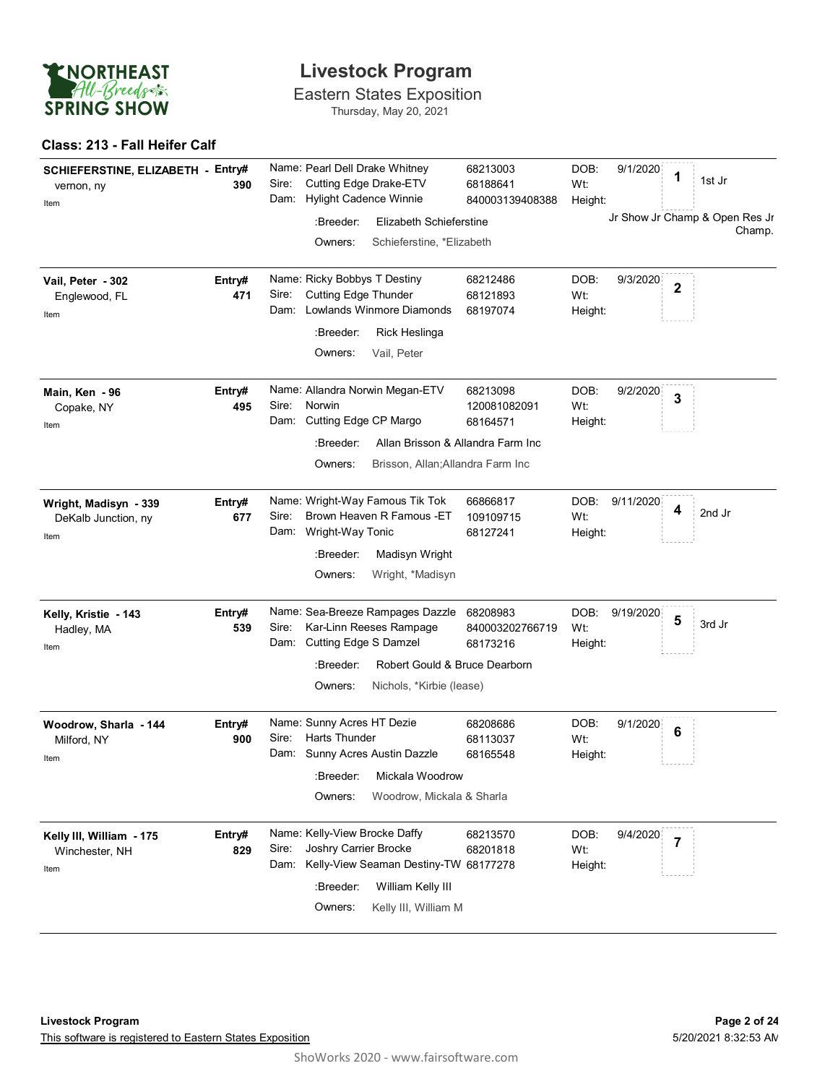

Eastern States Exposition Thursday, May 20, 2021

#### **Class: 213 - Fall Heifer Calf**

| SCHIEFERSTINE, ELIZABETH - Entry#<br>vernon, ny<br>Item | 390           | Name: Pearl Dell Drake Whitney<br>Cutting Edge Drake-ETV<br>Sire:<br>Dam: Hylight Cadence Winnie                                                        | 68213003<br>68188641<br>840003139408388                                                                        | DOB:<br>9/1/2020<br>1<br>Wt:<br>Height:                       | 1st Jr                                   |
|---------------------------------------------------------|---------------|---------------------------------------------------------------------------------------------------------------------------------------------------------|----------------------------------------------------------------------------------------------------------------|---------------------------------------------------------------|------------------------------------------|
|                                                         |               | :Breeder:<br>Owners:                                                                                                                                    | Elizabeth Schieferstine<br>Schieferstine, *Elizabeth                                                           |                                                               | Jr Show Jr Champ & Open Res Jr<br>Champ. |
| Vail, Peter - 302<br>Englewood, FL<br>Item              | Entry#<br>471 | Name: Ricky Bobbys T Destiny<br><b>Cutting Edge Thunder</b><br>Sire:<br><b>Lowlands Winmore Diamonds</b><br>Dam:<br>:Breeder:<br>Owners:<br>Vail, Peter | 68212486<br>68121893<br>68197074<br>Rick Heslinga                                                              | DOB:<br>9/3/2020<br>$\overline{\mathbf{2}}$<br>Wt:<br>Height: |                                          |
| Main, Ken - 96<br>Copake, NY<br>Item                    | Entry#<br>495 | Name: Allandra Norwin Megan-ETV<br>Sire:<br>Norwin<br>Cutting Edge CP Margo<br>Dam:<br>:Breeder:<br>Owners:                                             | 68213098<br>120081082091<br>68164571<br>Allan Brisson & Allandra Farm Inc<br>Brisson, Allan; Allandra Farm Inc | DOB:<br>9/2/2020<br>3<br>Wt:<br>Height:                       |                                          |
| Wright, Madisyn - 339<br>DeKalb Junction, ny<br>Item    | Entry#<br>677 | Name: Wright-Way Famous Tik Tok<br>Sire:<br>Brown Heaven R Famous -ET<br>Dam: Wright-Way Tonic<br>:Breeder:<br>Owners:                                  | 66866817<br>109109715<br>68127241<br>Madisyn Wright<br>Wright, *Madisyn                                        | DOB:<br>9/11/2020<br>4<br>Wt:<br>Height:                      | 2nd Jr                                   |
| Kelly, Kristie - 143<br>Hadley, MA<br>Item              | Entry#<br>539 | Name: Sea-Breeze Rampages Dazzle<br>Sire:<br>Kar-Linn Reeses Rampage<br>Dam: Cutting Edge S Damzel<br>:Breeder:<br>Owners:                              | 68208983<br>840003202766719<br>68173216<br>Robert Gould & Bruce Dearborn<br>Nichols, *Kirbie (lease)           | DOB:<br>9/19/2020<br>5<br>Wt:<br>Height:                      | 3rd Jr                                   |
| Woodrow, Sharla - 144<br>Milford, NY<br>Item            | Entry#<br>900 | Name: Sunny Acres HT Dezie<br>Harts Thunder<br>Sire:<br>Dam: Sunny Acres Austin Dazzle<br>:Breeder:<br>Owners:                                          | 68208686<br>68113037<br>68165548<br>Mickala Woodrow<br>Woodrow, Mickala & Sharla                               | DOB:<br>9/1/2020<br>6<br>Wt:<br>Height:                       |                                          |
| Kelly III, William - 175<br>Winchester, NH<br>Item      | Entry#<br>829 | Name: Kelly-View Brocke Daffy<br>Joshry Carrier Brocke<br>Sire:<br>Dam:<br>:Breeder:<br>Owners:                                                         | 68213570<br>68201818<br>Kelly-View Seaman Destiny-TW 68177278<br>William Kelly III<br>Kelly III, William M     | DOB:<br>9/4/2020<br>$\overline{7}$<br>Wt:<br>Height:          |                                          |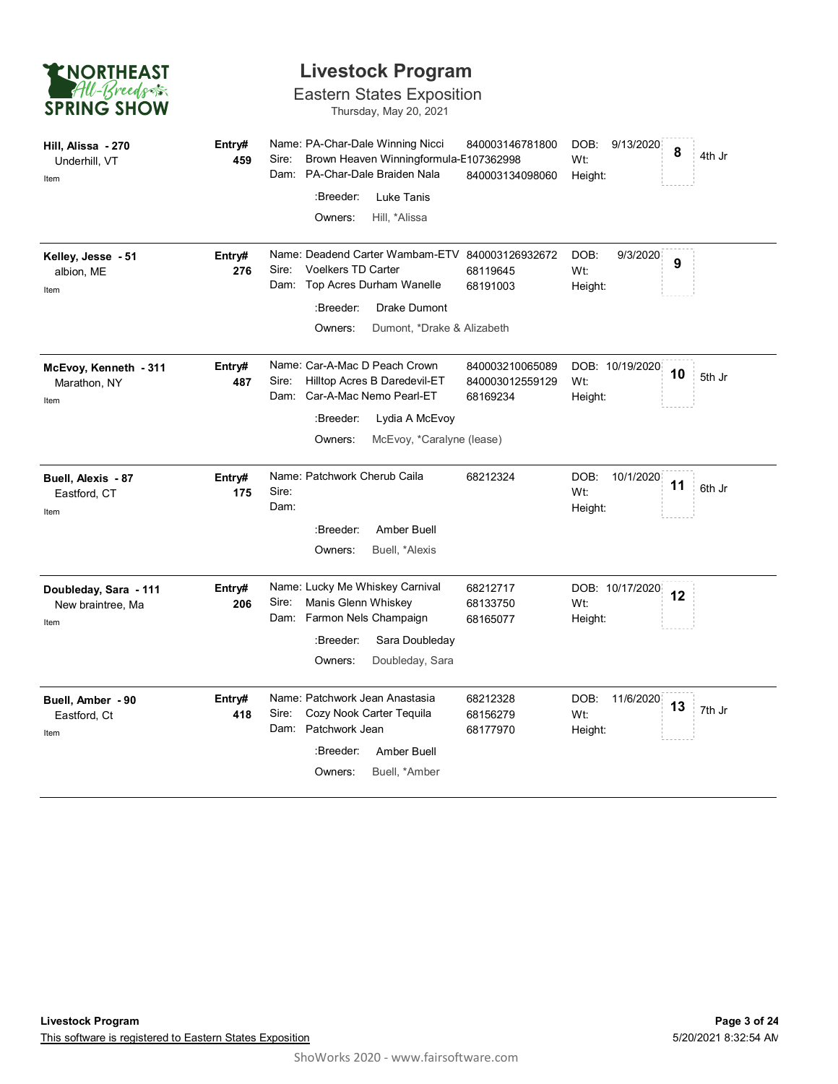| <b>ENORTHEAST</b>  |  |
|--------------------|--|
| All-Breeds         |  |
| <b>SPRING SHOW</b> |  |

### Eastern States Exposition

Thursday, May 20, 2021

| Hill, Alissa - 270<br>Underhill, VT<br>Item        | Entry#<br>459 | Name: PA-Char-Dale Winning Nicci<br>840003146781800<br>DOB:<br>9/13/2020<br>8<br>Brown Heaven Winningformula-E107362998<br>Sire:<br>Wt:<br>PA-Char-Dale Braiden Nala<br>Dam:<br>840003134098060<br>Height:<br>:Breeder:<br>Luke Tanis<br>Owners:<br>Hill, *Alissa             | 4th Jr |
|----------------------------------------------------|---------------|-------------------------------------------------------------------------------------------------------------------------------------------------------------------------------------------------------------------------------------------------------------------------------|--------|
| Kelley, Jesse - 51<br>albion, ME<br>Item           | Entry#<br>276 | Name: Deadend Carter Wambam-ETV 840003126932672<br>DOB:<br>9/3/2020<br>9<br><b>Voelkers TD Carter</b><br>Sire:<br>Wt:<br>68119645<br>Dam: Top Acres Durham Wanelle<br>68191003<br>Height:<br>:Breeder:<br><b>Drake Dumont</b><br>Owners:<br>Dumont, *Drake & Alizabeth        |        |
| McEvoy, Kenneth - 311<br>Marathon, NY<br>Item      | Entry#<br>487 | Name: Car-A-Mac D Peach Crown<br>840003210065089<br>DOB: 10/19/2020<br>10<br>Sire:<br>Hilltop Acres B Daredevil-ET<br>Wt:<br>840003012559129<br>Car-A-Mac Nemo Pearl-ET<br>Dam:<br>68169234<br>Height:<br>:Breeder:<br>Lydia A McEvoy<br>Owners:<br>McEvoy, *Caralyne (lease) | 5th Jr |
| Buell, Alexis - 87<br>Eastford, CT<br>Item         | Entry#<br>175 | Name: Patchwork Cherub Caila<br>68212324<br>DOB:<br>10/1/2020<br>11<br>Sire:<br>Wt:<br>Dam:<br>Height:<br>:Breeder:<br>Amber Buell<br>Owners:<br>Buell, *Alexis                                                                                                               | 6th Jr |
| Doubleday, Sara - 111<br>New braintree, Ma<br>Item | Entry#<br>206 | Name: Lucky Me Whiskey Carnival<br>DOB: 10/17/2020<br>68212717<br>12<br>Sire:<br>Manis Glenn Whiskey<br>Wt:<br>68133750<br>Dam: Farmon Nels Champaign<br>68165077<br>Height:<br>:Breeder:<br>Sara Doubleday<br>Owners:<br>Doubleday, Sara                                     |        |
| Buell, Amber - 90<br>Eastford, Ct<br>Item          | Entry#<br>418 | Name: Patchwork Jean Anastasia<br>68212328<br>DOB:<br>11/6/2020<br>13<br>Sire:<br>Cozy Nook Carter Tequila<br>68156279<br>Wt:<br>Patchwork Jean<br>Dam:<br>68177970<br>Height:<br>:Breeder:<br>Amber Buell<br>Owners:<br>Buell, *Amber                                        | 7th Jr |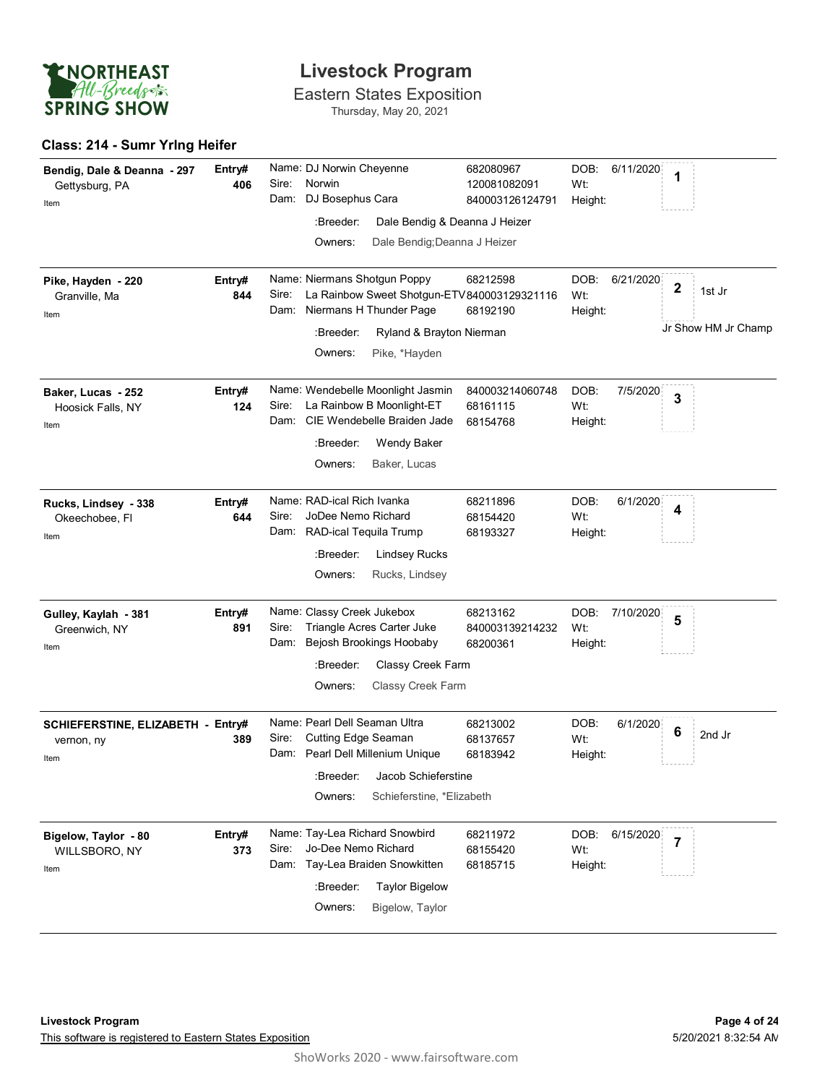

Eastern States Exposition Thursday, May 20, 2021

#### **Class: 214 - Sumr Yrlng Heifer**

| Bendig, Dale & Deanna - 297<br>Gettysburg, PA<br>Item   | Entry#<br>406 | Name: DJ Norwin Cheyenne<br>Norwin<br>Sire:<br>DJ Bosephus Cara<br>Dam:                                                       | 682080967<br>120081082091<br>840003126124791 | DOB:<br>6/11/2020<br>Wt:<br>Height: | 1                     |
|---------------------------------------------------------|---------------|-------------------------------------------------------------------------------------------------------------------------------|----------------------------------------------|-------------------------------------|-----------------------|
|                                                         |               | :Breeder:                                                                                                                     | Dale Bendig & Deanna J Heizer                |                                     |                       |
|                                                         |               | Owners:                                                                                                                       | Dale Bendig; Deanna J Heizer                 |                                     |                       |
| Pike, Hayden - 220<br>Granville, Ma<br>Item             | Entry#<br>844 | Name: Niermans Shotgun Poppy<br>La Rainbow Sweet Shotgun-ETV 840003129321116<br>Sire:<br>Dam: Niermans H Thunder Page         | 68212598<br>68192190                         | DOB:<br>6/21/2020<br>Wt:<br>Height: | $\mathbf 2$<br>1st Jr |
|                                                         |               | :Breeder:<br>Ryland & Brayton Nierman                                                                                         |                                              |                                     | Jr Show HM Jr Champ.  |
|                                                         |               | Owners:<br>Pike, *Hayden                                                                                                      |                                              |                                     |                       |
| Baker, Lucas - 252<br>Hoosick Falls, NY<br>Item         | Entry#<br>124 | Name: Wendebelle Moonlight Jasmin<br>Sire:<br>La Rainbow B Moonlight-ET<br>Dam: CIE Wendebelle Braiden Jade                   | 840003214060748<br>68161115<br>68154768      | DOB:<br>7/5/2020<br>Wt:<br>Height:  | 3                     |
|                                                         |               | :Breeder:<br>Wendy Baker                                                                                                      |                                              |                                     |                       |
|                                                         |               | Owners:<br>Baker, Lucas                                                                                                       |                                              |                                     |                       |
| Rucks, Lindsey - 338<br>Okeechobee, Fl<br>Item          | Entry#<br>644 | Name: RAD-ical Rich Ivanka<br>Sire:<br>JoDee Nemo Richard<br>Dam: RAD-ical Tequila Trump<br>:Breeder:<br><b>Lindsey Rucks</b> | 68211896<br>68154420<br>68193327             | DOB:<br>6/1/2020<br>Wt:<br>Height:  | 4                     |
|                                                         |               | Owners:<br>Rucks, Lindsey                                                                                                     |                                              |                                     |                       |
| Gulley, Kaylah - 381<br>Greenwich, NY<br>Item           | Entry#<br>891 | Name: Classy Creek Jukebox<br>Triangle Acres Carter Juke<br>Sire:<br>Bejosh Brookings Hoobaby<br>Dam:                         | 68213162<br>840003139214232<br>68200361      | DOB:<br>7/10/2020<br>Wt:<br>Height: | 5                     |
|                                                         |               | Classy Creek Farm<br>:Breeder:                                                                                                |                                              |                                     |                       |
|                                                         |               | Classy Creek Farm<br>Owners:                                                                                                  |                                              |                                     |                       |
| SCHIEFERSTINE, ELIZABETH - Entry#<br>vernon, ny<br>Item | 389           | Name: Pearl Dell Seaman Ultra<br>Sire:<br>Cutting Edge Seaman<br>Dam: Pearl Dell Millenium Unique                             | 68213002<br>68137657<br>68183942             | DOB:<br>6/1/2020<br>Wt:<br>Height:  | 6<br>2nd Jr           |
|                                                         |               | :Breeder:<br>Jacob Schieferstine                                                                                              |                                              |                                     |                       |
|                                                         |               | Owners:<br>Schieferstine, *Elizabeth                                                                                          |                                              |                                     |                       |
| Bigelow, Taylor - 80<br>WILLSBORO, NY<br>Item           | Entry#<br>373 | Name: Tay-Lea Richard Snowbird<br>Jo-Dee Nemo Richard<br>Sire:<br>Dam: Tay-Lea Braiden Snowkitten                             | 68211972<br>68155420<br>68185715             | DOB:<br>6/15/2020<br>Wt:<br>Height: | $\overline{7}$        |
|                                                         |               | :Breeder:<br><b>Taylor Bigelow</b>                                                                                            |                                              |                                     |                       |
|                                                         |               | Owners:<br>Bigelow, Taylor                                                                                                    |                                              |                                     |                       |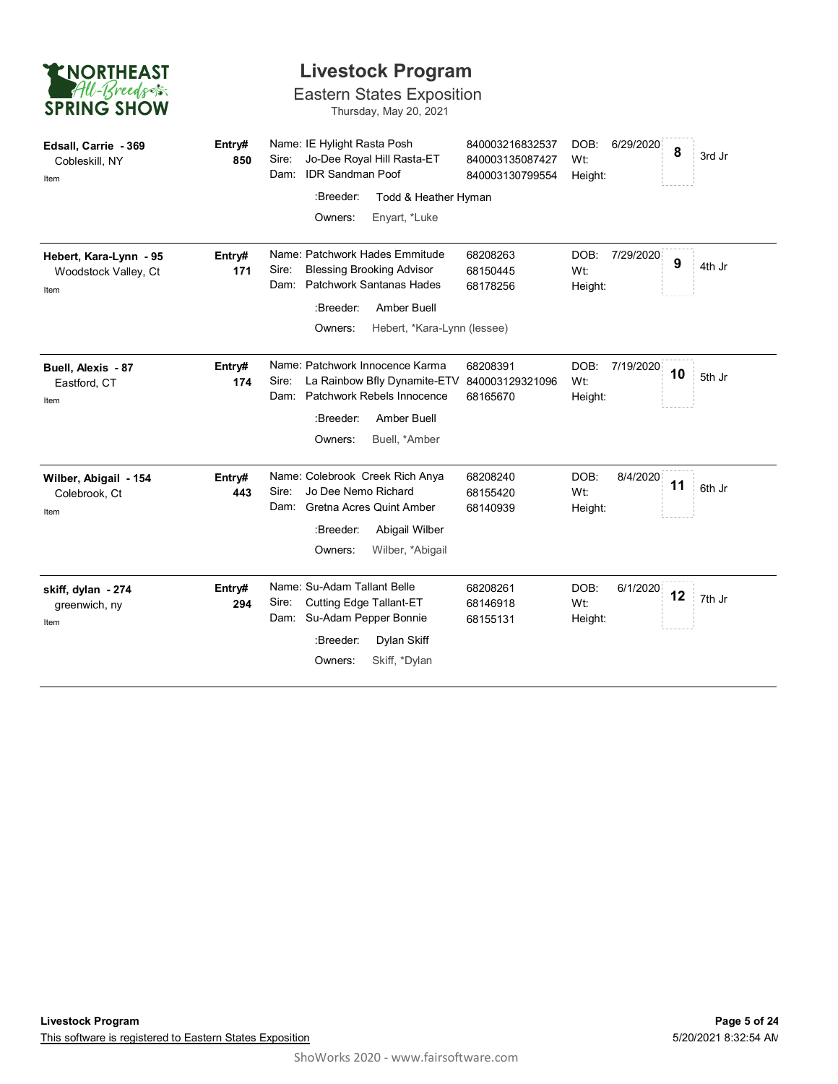| <b>ENORTHEAST</b><br>All-Breeds<br><b>SPRING SHOW</b>  | <b>Livestock Program</b><br><b>Eastern States Exposition</b><br>Thursday, May 20, 2021 |                                                                                                                 |                                                       |                                     |              |  |  |
|--------------------------------------------------------|----------------------------------------------------------------------------------------|-----------------------------------------------------------------------------------------------------------------|-------------------------------------------------------|-------------------------------------|--------------|--|--|
| Edsall, Carrie - 369<br>Cobleskill, NY<br>Item         | Entry#<br>850                                                                          | Name: IE Hylight Rasta Posh<br>Jo-Dee Royal Hill Rasta-ET<br>Sire:<br><b>IDR Sandman Poof</b><br>Dam:           | 840003216832537<br>840003135087427<br>840003130799554 | DOB:<br>6/29/2020<br>Wt:<br>Height: | 8<br>3rd Jr  |  |  |
|                                                        |                                                                                        | :Breeder:<br>Todd & Heather Hyman                                                                               |                                                       |                                     |              |  |  |
|                                                        |                                                                                        | Owners:<br>Enyart, *Luke                                                                                        |                                                       |                                     |              |  |  |
| Hebert, Kara-Lynn - 95<br>Woodstock Valley, Ct<br>Item | Entry#<br>171                                                                          | Name: Patchwork Hades Emmitude<br><b>Blessing Brooking Advisor</b><br>Sire:<br>Dam:<br>Patchwork Santanas Hades | 68208263<br>68150445<br>68178256                      | DOB:<br>7/29/2020<br>Wt:<br>Height: | 9<br>4th Jr  |  |  |
|                                                        |                                                                                        | :Breeder:<br>Amber Buell                                                                                        |                                                       |                                     |              |  |  |
|                                                        |                                                                                        | Owners:<br>Hebert, *Kara-Lynn (lessee)                                                                          |                                                       |                                     |              |  |  |
| Buell, Alexis - 87<br>Eastford, CT<br>Item             | Entry#<br>174                                                                          | Name: Patchwork Innocence Karma<br>La Rainbow Bfly Dynamite-ETV<br>Sire:<br>Patchwork Rebels Innocence<br>Dam:  | 68208391<br>840003129321096<br>68165670               | DOB:<br>7/19/2020<br>Wt:<br>Height: | 10<br>5th Jr |  |  |
|                                                        |                                                                                        | :Breeder:<br>Amber Buell<br>Owners:<br>Buell. *Amber                                                            |                                                       |                                     |              |  |  |
| Wilber, Abigail - 154<br>Colebrook, Ct<br>Item         | Entry#<br>443                                                                          | Name: Colebrook Creek Rich Anya<br>Jo Dee Nemo Richard<br>Sire:<br>Dam:<br>Gretna Acres Quint Amber             | 68208240<br>68155420<br>68140939                      | DOB:<br>8/4/2020<br>Wt:<br>Height:  | 11<br>6th Jr |  |  |
|                                                        |                                                                                        | :Breeder:<br>Abigail Wilber                                                                                     |                                                       |                                     |              |  |  |
|                                                        |                                                                                        | Owners:<br>Wilber, *Abigail                                                                                     |                                                       |                                     |              |  |  |
| skiff, dylan - 274<br>greenwich, ny<br>Item            | Entry#<br>294                                                                          | Name: Su-Adam Tallant Belle<br>Sire:<br><b>Cutting Edge Tallant-ET</b><br>Dam: Su-Adam Pepper Bonnie            | 68208261<br>68146918<br>68155131                      | DOB:<br>6/1/2020<br>Wt:<br>Height:  | 12<br>7th Jr |  |  |
|                                                        |                                                                                        | Dylan Skiff<br>:Breeder:                                                                                        |                                                       |                                     |              |  |  |
|                                                        |                                                                                        | Skiff, *Dylan<br>Owners:                                                                                        |                                                       |                                     |              |  |  |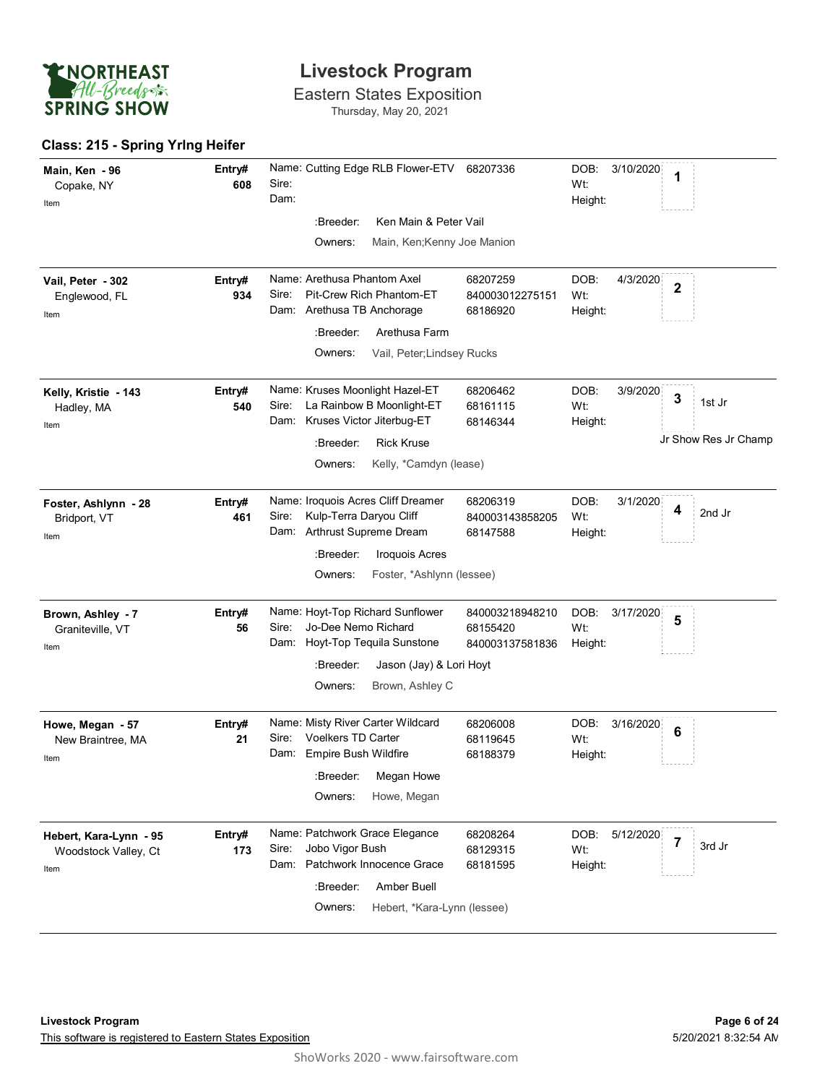

Eastern States Exposition Thursday, May 20, 2021

#### **Class: 215 - Spring Yrlng Heifer**

| Main, Ken - 96<br>Copake, NY<br>Item                   | Entry#<br>608 | Name: Cutting Edge RLB Flower-ETV<br>Sire:<br>Dam:                                                                                                                                  | 68207336                                       | DOB:<br>3/10/2020<br>1<br>Wt:<br>Height:                                  |
|--------------------------------------------------------|---------------|-------------------------------------------------------------------------------------------------------------------------------------------------------------------------------------|------------------------------------------------|---------------------------------------------------------------------------|
|                                                        |               | :Breeder:<br>Ken Main & Peter Vail                                                                                                                                                  |                                                |                                                                           |
|                                                        |               | Owners:<br>Main, Ken; Kenny Joe Manion                                                                                                                                              |                                                |                                                                           |
| Vail, Peter - 302<br>Englewood, FL<br>Item             | Entry#<br>934 | Name: Arethusa Phantom Axel<br>Pit-Crew Rich Phantom-ET<br>Sire:<br>Dam: Arethusa TB Anchorage<br>:Breeder:<br>Arethusa Farm<br>Owners:<br>Vail, Peter; Lindsey Rucks               | 68207259<br>840003012275151<br>68186920        | DOB:<br>4/3/2020<br>$\mathbf 2$<br>Wt:<br>Height:                         |
| Kelly, Kristie - 143<br>Hadley, MA<br>Item             | Entry#<br>540 | Name: Kruses Moonlight Hazel-ET<br>Sire: La Rainbow B Moonlight-ET<br>Dam: Kruses Victor Jiterbug-ET<br><b>Rick Kruse</b><br>:Breeder:<br>Owners:<br>Kelly, *Camdyn (lease)         | 68206462<br>68161115<br>68146344               | DOB:<br>3/9/2020<br>3<br>1st Jr<br>Wt:<br>Height:<br>Jr Show Res Jr Champ |
| Foster, Ashlynn - 28<br>Bridport, VT<br>Item           | Entry#<br>461 | Name: Iroquois Acres Cliff Dreamer<br>Kulp-Terra Daryou Cliff<br>Sire:<br>Dam: Arthrust Supreme Dream<br>:Breeder:<br><b>Iroquois Acres</b><br>Owners:<br>Foster, *Ashlynn (lessee) | 68206319<br>840003143858205<br>68147588        | DOB:<br>3/1/2020<br>4<br>2nd Jr<br>Wt:<br>Height:                         |
| Brown, Ashley - 7<br>Graniteville, VT<br>Item          | Entry#<br>56  | Name: Hoyt-Top Richard Sunflower<br>Jo-Dee Nemo Richard<br>Sire:<br>Dam: Hoyt-Top Tequila Sunstone<br>:Breeder:<br>Jason (Jay) & Lori Hoyt<br>Brown, Ashley C<br>Owners:            | 840003218948210<br>68155420<br>840003137581836 | DOB:<br>3/17/2020<br>5<br>Wt:<br>Height:                                  |
| Howe, Megan - 57<br>New Braintree, MA<br>Item          | Entry#<br>21  | Name: Misty River Carter Wildcard<br>Voelkers TD Carter<br>Sire:<br>Dam: Empire Bush Wildfire<br>:Breeder: Megan Howe<br>Owners:<br>Howe, Megan                                     | 68206008<br>68119645<br>68188379               | DOB:<br>3/16/2020<br>6<br>Wt:<br>Height:                                  |
| Hebert, Kara-Lynn - 95<br>Woodstock Valley, Ct<br>Item | Entry#<br>173 | Name: Patchwork Grace Elegance<br>Jobo Vigor Bush<br>Sire:<br>Dam: Patchwork Innocence Grace<br>:Breeder:<br>Amber Buell<br>Owners:<br>Hebert, *Kara-Lynn (lessee)                  | 68208264<br>68129315<br>68181595               | DOB:<br>5/12/2020<br>$\overline{7}$<br>3rd Jr<br>Wt:<br>Height:           |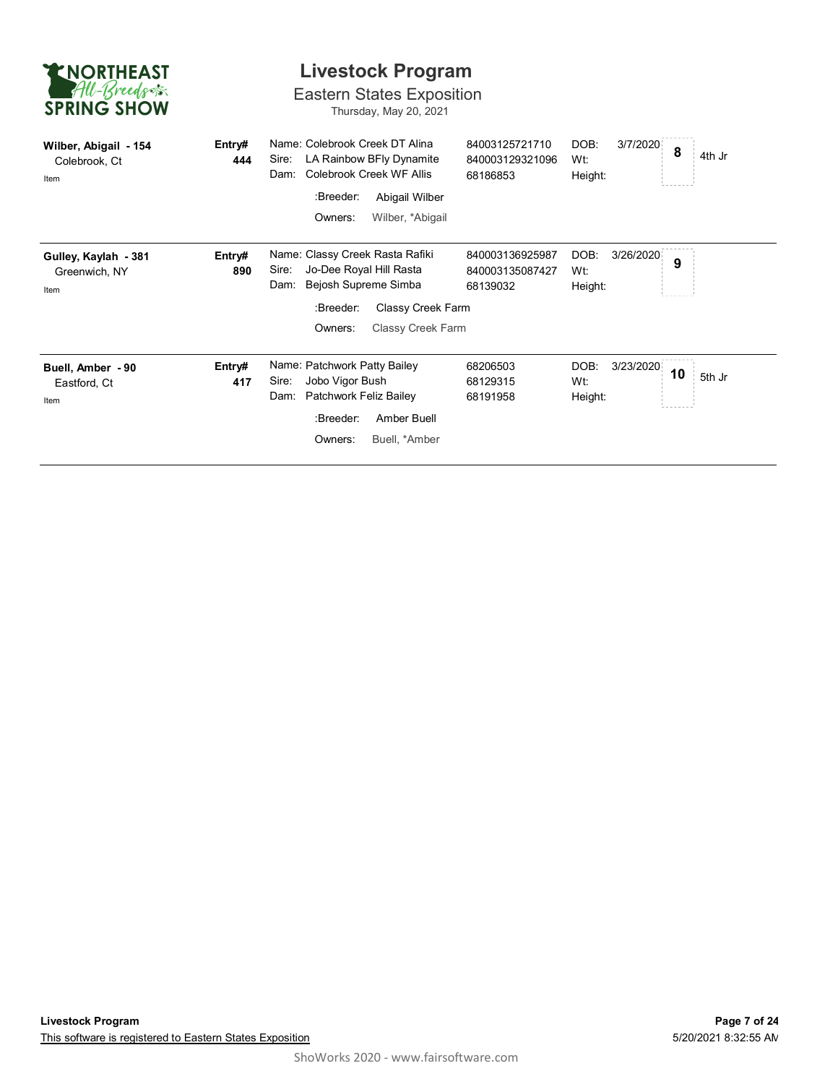| <b>ENORTHEAST</b><br>All-Breeds<br><b>SPRING SHOW</b> | <b>Livestock Program</b><br><b>Eastern States Exposition</b><br>Thursday, May 20, 2021 |                                                                                                                                                                       |                                                |                                     |              |  |  |  |  |
|-------------------------------------------------------|----------------------------------------------------------------------------------------|-----------------------------------------------------------------------------------------------------------------------------------------------------------------------|------------------------------------------------|-------------------------------------|--------------|--|--|--|--|
| Wilber, Abigail - 154<br>Colebrook, Ct<br>Item        | Entry#<br>444                                                                          | Name: Colebrook Creek DT Alina<br>LA Rainbow BFly Dynamite<br>Sire:<br>Colebrook Creek WF Allis<br>Dam:<br>:Breeder:<br>Abigail Wilber<br>Owners:<br>Wilber, *Abigail | 84003125721710<br>840003129321096<br>68186853  | DOB:<br>3/7/2020<br>Wt:<br>Height:  | 8<br>4th Jr  |  |  |  |  |
| Gulley, Kaylah - 381<br>Greenwich, NY<br>Item         | Entry#<br>890                                                                          | Name: Classy Creek Rasta Rafiki<br>Jo-Dee Royal Hill Rasta<br>Sire:<br>Bejosh Supreme Simba<br>Dam:<br>:Breeder:<br>Classy Creek Farm<br>Owners:<br>Classy Creek Farm | 840003136925987<br>840003135087427<br>68139032 | DOB:<br>3/26/2020<br>Wt:<br>Height: | 9            |  |  |  |  |
| Buell, Amber - 90<br>Eastford, Ct<br>Item             | Entry#<br>417                                                                          | Name: Patchwork Patty Bailey<br>Jobo Vigor Bush<br>Sire:<br>Patchwork Feliz Bailey<br>Dam:<br>:Breeder:<br>Amber Buell<br>Owners:<br>Buell, *Amber                    | 68206503<br>68129315<br>68191958               | DOB:<br>3/23/2020<br>Wt:<br>Height: | 10<br>5th Jr |  |  |  |  |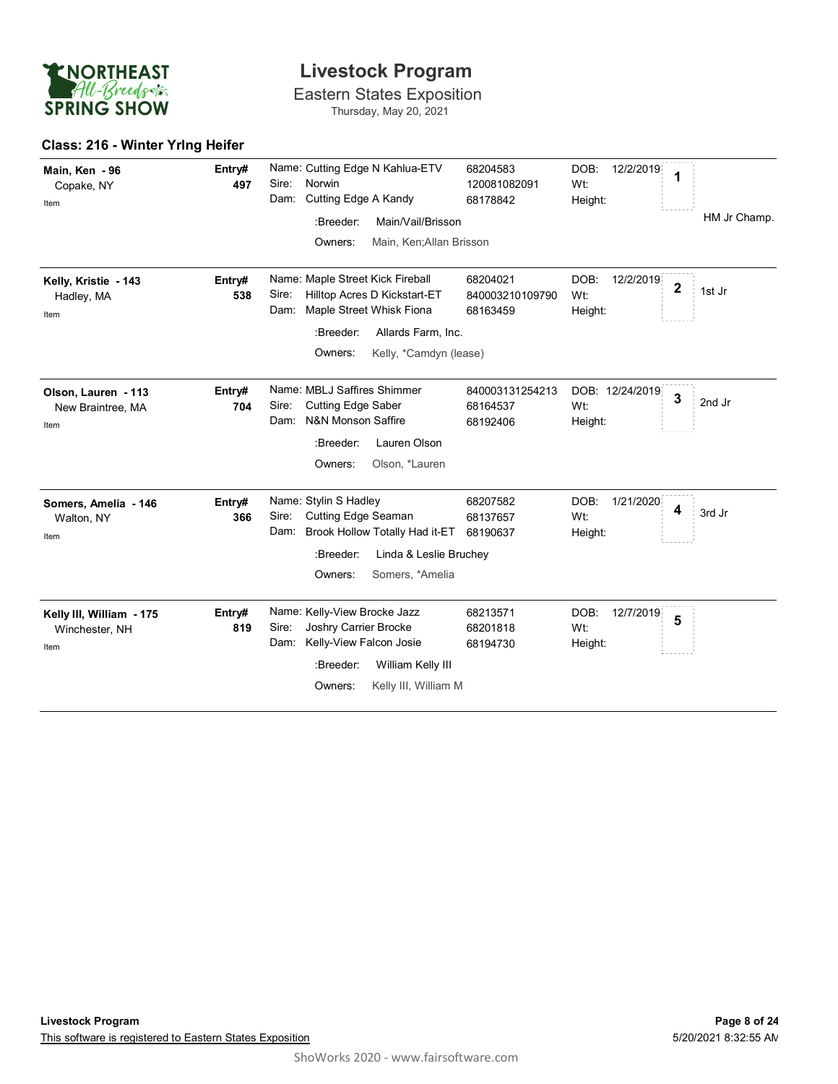

Eastern States Exposition Thursday, May 20, 2021

#### **Class: 216 - Winter Yrlng Heifer**

| Main, Ken - 96<br>Copake, NY<br>Item               | Entry#<br>497 | Name: Cutting Edge N Kahlua-ETV<br>Norwin<br>Sire:<br>Cutting Edge A Kandy<br>Dam:<br>:Breeder:<br>Main/Vail/Brisson<br>Owners:<br>Main, Ken;Allan Brisson                            | 68204583<br>120081082091<br>68178842    | DOB:<br>12/2/2019<br>1<br>Wt:<br>Height:           | HM Jr Champ. |
|----------------------------------------------------|---------------|---------------------------------------------------------------------------------------------------------------------------------------------------------------------------------------|-----------------------------------------|----------------------------------------------------|--------------|
| Kelly, Kristie - 143<br>Hadley, MA<br>Item         | Entry#<br>538 | Name: Maple Street Kick Fireball<br>Hilltop Acres D Kickstart-ET<br>Sire:<br>Maple Street Whisk Fiona<br>Dam:<br>:Breeder:<br>Allards Farm, Inc.<br>Owners:<br>Kelly, *Camdyn (lease) | 68204021<br>840003210109790<br>68163459 | DOB:<br>12/2/2019<br>$\mathbf 2$<br>Wt:<br>Height: | 1st Jr       |
| Olson, Lauren - 113<br>New Braintree, MA<br>Item   | Entry#<br>704 | Name: MBLJ Saffires Shimmer<br><b>Cutting Edge Saber</b><br>Sire:<br>N&N Monson Saffire<br>Dam:<br>Lauren Olson<br>:Breeder:<br>Owners:<br>Olson, *Lauren                             | 840003131254213<br>68164537<br>68192406 | DOB: 12/24/2019<br>$\mathbf{3}$<br>Wt:<br>Height:  | 2nd Jr       |
| Somers, Amelia - 146<br>Walton, NY<br>Item         | Entry#<br>366 | Name: Stylin S Hadley<br>Sire:<br>Cutting Edge Seaman<br>Brook Hollow Totally Had it-ET<br>Dam:<br>:Breeder:<br>Linda & Leslie Bruchey<br>Somers, *Amelia<br>Owners:                  | 68207582<br>68137657<br>68190637        | DOB:<br>1/21/2020<br>4<br>Wt:<br>Height:           | 3rd Jr       |
| Kelly III, William - 175<br>Winchester, NH<br>Item | Entry#<br>819 | Name: Kelly-View Brocke Jazz<br>Sire:<br>Joshry Carrier Brocke<br>Kelly-View Falcon Josie<br>Dam:<br>:Breeder:<br>William Kelly III<br>Owners:<br>Kelly III, William M                | 68213571<br>68201818<br>68194730        | DOB:<br>12/7/2019<br>5<br>Wt:<br>Height:           |              |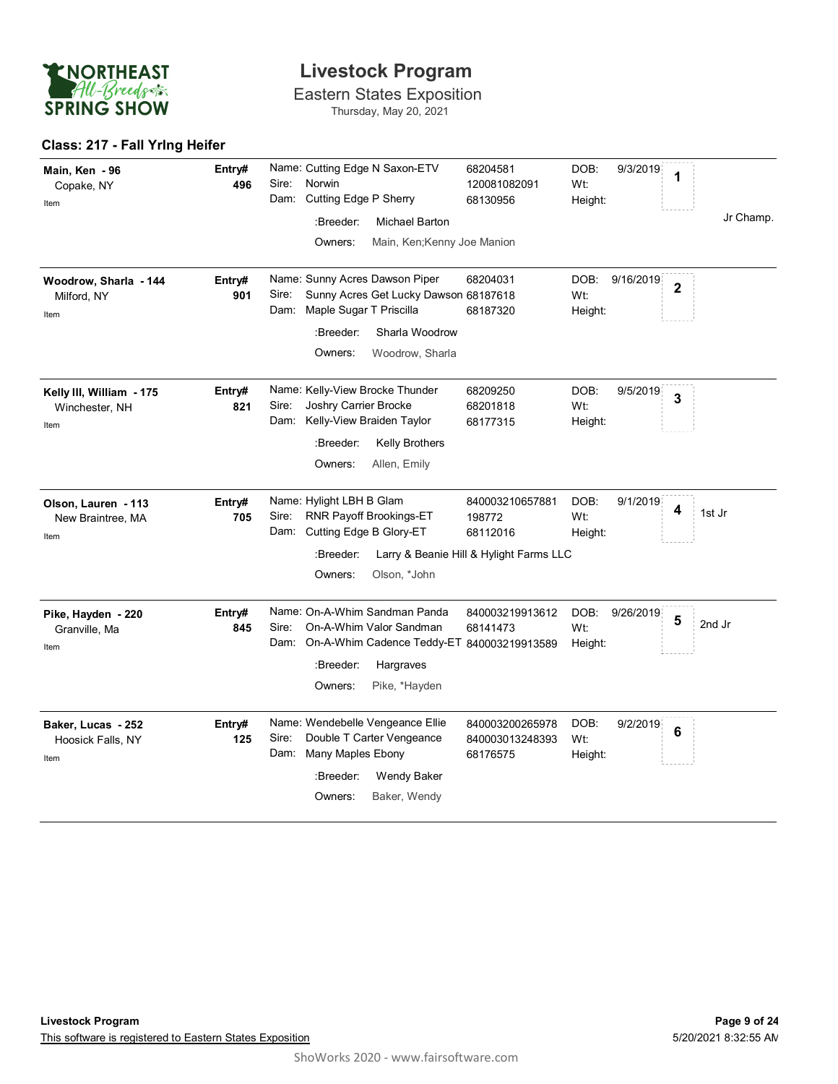

Eastern States Exposition Thursday, May 20, 2021

#### **Class: 217 - Fall Yrlng Heifer**

| Main, Ken - 96<br>Copake, NY<br>Item               | Entry#<br>496 | Sire:         | Norwin<br>Dam: Cutting Edge P Sherry<br>:Breeder:        | Name: Cutting Edge N Saxon-ETV<br>Michael Barton                             | 68204581<br>120081082091<br>68130956                                      | DOB:<br>Wt:<br>Height: | 9/3/2019  | 1                       | Jr Champ. |
|----------------------------------------------------|---------------|---------------|----------------------------------------------------------|------------------------------------------------------------------------------|---------------------------------------------------------------------------|------------------------|-----------|-------------------------|-----------|
|                                                    |               |               | Owners:                                                  | Main, Ken; Kenny Joe Manion                                                  |                                                                           |                        |           |                         |           |
| Woodrow, Sharla - 144<br>Milford, NY<br>Item       | Entry#<br>901 | Sire:<br>Dam: | Maple Sugar T Priscilla                                  | Name: Sunny Acres Dawson Piper<br>Sunny Acres Get Lucky Dawson 68187618      | 68204031<br>68187320                                                      | DOB:<br>Wt:<br>Height: | 9/16/2019 | $\overline{\mathbf{2}}$ |           |
|                                                    |               |               | :Breeder:                                                | Sharla Woodrow                                                               |                                                                           |                        |           |                         |           |
|                                                    |               |               | Owners:                                                  | Woodrow, Sharla                                                              |                                                                           |                        |           |                         |           |
| Kelly III, William - 175<br>Winchester, NH<br>Item | Entry#<br>821 | Sire:         | Joshry Carrier Brocke<br>Dam: Kelly-View Braiden Taylor  | Name: Kelly-View Brocke Thunder                                              | 68209250<br>68201818<br>68177315                                          | DOB:<br>Wt:<br>Height: | 9/5/2019  | 3                       |           |
|                                                    |               |               | :Breeder:                                                | <b>Kelly Brothers</b>                                                        |                                                                           |                        |           |                         |           |
|                                                    |               |               | Owners:                                                  | Allen, Emily                                                                 |                                                                           |                        |           |                         |           |
| Olson, Lauren - 113<br>New Braintree, MA<br>Item   | Entry#<br>705 | Sire:         | Name: Hylight LBH B Glam<br>Dam: Cutting Edge B Glory-ET | RNR Payoff Brookings-ET                                                      | 840003210657881<br>198772<br>68112016                                     | DOB:<br>Wt:<br>Height: | 9/1/2019  | 4                       | 1st Jr    |
|                                                    |               |               | :Breeder:                                                |                                                                              | Larry & Beanie Hill & Hylight Farms LLC                                   |                        |           |                         |           |
|                                                    |               |               | Owners:                                                  | Olson, *John                                                                 |                                                                           |                        |           |                         |           |
| Pike, Hayden - 220<br>Granville, Ma<br>Item        | Entry#<br>845 | Sire:<br>Dam: |                                                          | Name: On-A-Whim Sandman Panda<br>On-A-Whim Valor Sandman                     | 840003219913612<br>68141473<br>On-A-Whim Cadence Teddy-ET 840003219913589 | DOB:<br>Wt:<br>Height: | 9/26/2019 | 5                       | 2nd Jr    |
|                                                    |               |               | :Breeder:                                                | Hargraves                                                                    |                                                                           |                        |           |                         |           |
|                                                    |               |               | Owners:                                                  | Pike, *Hayden                                                                |                                                                           |                        |           |                         |           |
| Baker, Lucas - 252<br>Hoosick Falls, NY<br>Item    | Entry#<br>125 | Sire:<br>Dam: | Many Maples Ebony<br>:Breeder:                           | Name: Wendebelle Vengeance Ellie<br>Double T Carter Vengeance<br>Wendy Baker | 840003200265978<br>840003013248393<br>68176575                            | DOB:<br>Wt:<br>Height: | 9/2/2019  | 6                       |           |
|                                                    |               |               | Owners:                                                  | Baker, Wendy                                                                 |                                                                           |                        |           |                         |           |
|                                                    |               |               |                                                          |                                                                              |                                                                           |                        |           |                         |           |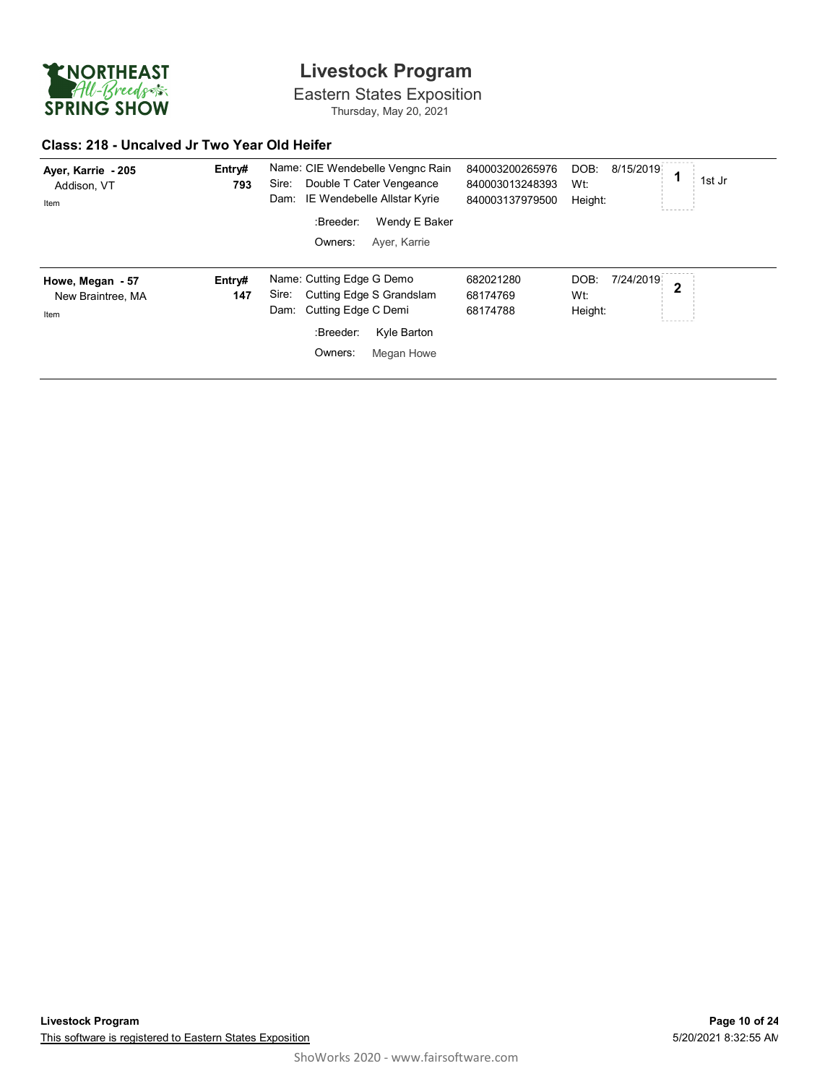

Eastern States Exposition Thursday, May 20, 2021

#### **Class: 218 - Uncalved Jr Two Year Old Heifer**

| Ayer, Karrie - 205<br>Addison, VT<br>Item | Entry#<br>793 | Sire:<br>Dam: |                           | Name: CIE Wendebelle Vengnc Rain<br>Double T Cater Vengeance<br>IE Wendebelle Allstar Kyrie | 840003200265976<br>840003013248393<br>840003137979500 | DOB:<br>Wt:<br>Height: | 8/15/2019 |   | 1st Jr |
|-------------------------------------------|---------------|---------------|---------------------------|---------------------------------------------------------------------------------------------|-------------------------------------------------------|------------------------|-----------|---|--------|
|                                           |               |               | :Breeder:                 | Wendy E Baker                                                                               |                                                       |                        |           |   |        |
|                                           |               |               | Owners:                   | Aver, Karrie                                                                                |                                                       |                        |           |   |        |
| Howe, Megan - 57                          | Entry#        |               | Name: Cutting Edge G Demo |                                                                                             | 682021280                                             | DOB:                   | 7/24/2019 | 2 |        |
| New Braintree, MA                         | 147           | Sire:         |                           | Cutting Edge S Grandslam                                                                    | 68174769                                              | Wt:                    |           |   |        |
| Item                                      |               | Dam:          | Cutting Edge C Demi       |                                                                                             | 68174788                                              | Height:                |           |   |        |
|                                           |               |               | :Breeder:                 | Kyle Barton                                                                                 |                                                       |                        |           |   |        |
|                                           |               |               |                           |                                                                                             |                                                       |                        |           |   |        |
|                                           |               |               |                           |                                                                                             |                                                       |                        |           |   |        |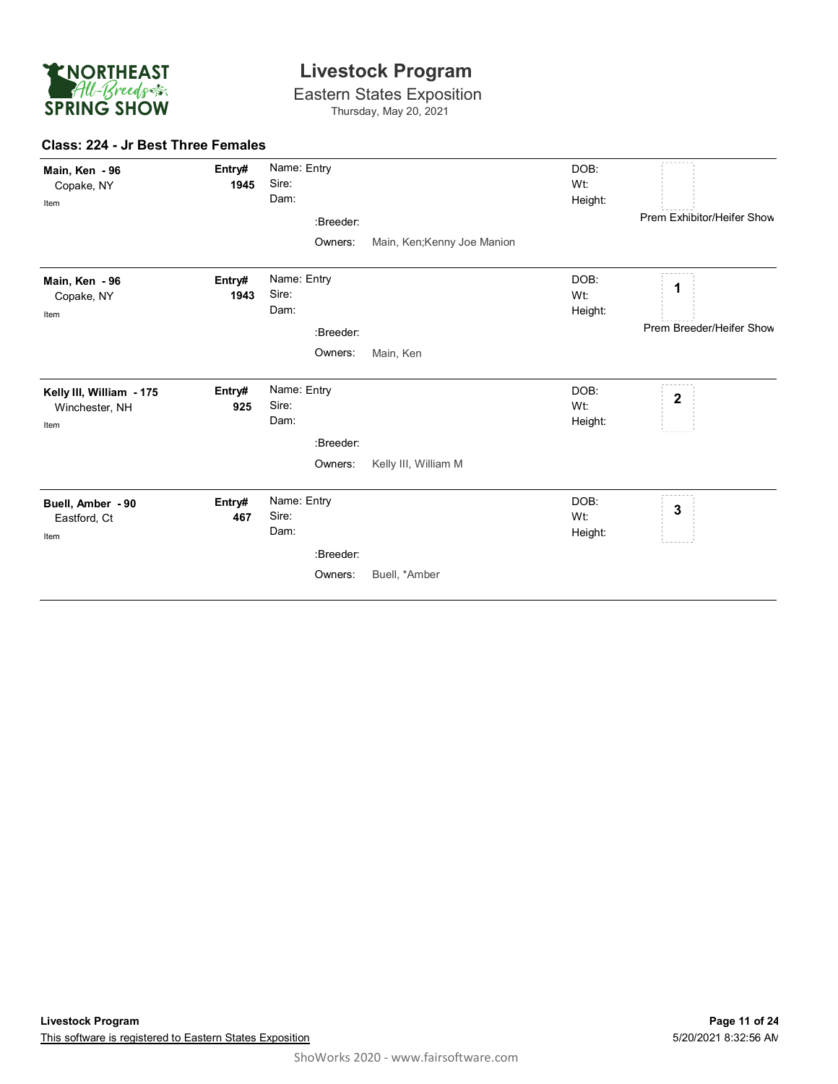

Eastern States Exposition Thursday, May 20, 2021

#### **Class: 224 - Jr Best Three Females**

| Main, Ken - 96<br>Copake, NY<br>Item               | Entry#<br>1945 | Name: Entry<br>Sire:<br>Dam:<br>:Breeder: |                             | DOB:<br>Wt:<br>Height: | Prem Exhibitor/Heifer Show    |
|----------------------------------------------------|----------------|-------------------------------------------|-----------------------------|------------------------|-------------------------------|
|                                                    |                | Owners:                                   | Main, Ken; Kenny Joe Manion |                        |                               |
| Main, Ken - 96<br>Copake, NY<br>Item               | Entry#<br>1943 | Name: Entry<br>Sire:<br>Dam:<br>:Breeder: |                             | DOB:<br>Wt:<br>Height: | 1<br>Prem Breeder/Heifer Show |
|                                                    |                | Owners:                                   | Main, Ken                   |                        |                               |
| Kelly III, William - 175<br>Winchester, NH<br>Item | Entry#<br>925  | Name: Entry<br>Sire:<br>Dam:<br>:Breeder: |                             | DOB:<br>Wt:<br>Height: | $\mathbf 2$                   |
|                                                    |                | Owners:                                   | Kelly III, William M        |                        |                               |
| Buell, Amber - 90<br>Eastford, Ct<br>Item          | Entry#<br>467  | Name: Entry<br>Sire:<br>Dam:<br>:Breeder: |                             | DOB:<br>Wt:<br>Height: | 3                             |
|                                                    |                | Owners:                                   | Buell, *Amber               |                        |                               |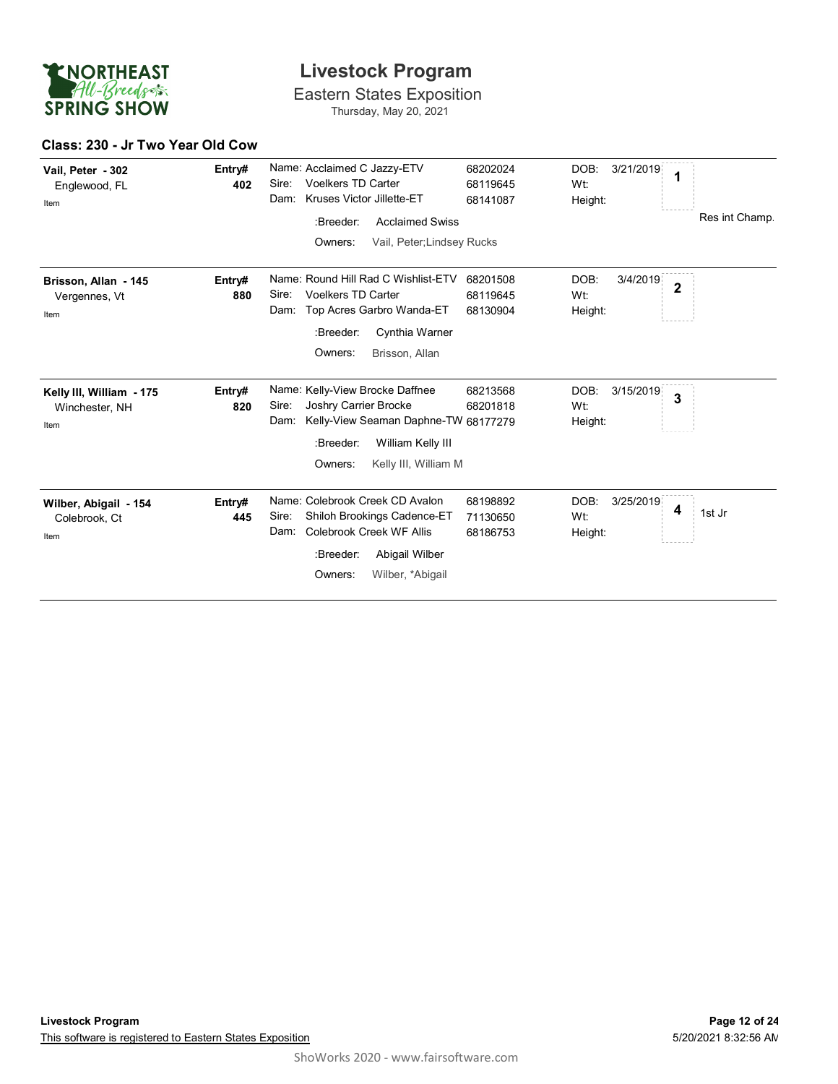

Eastern States Exposition Thursday, May 20, 2021

#### **Class: 230 - Jr Two Year Old Cow**

| Vail, Peter - 302<br>Englewood, FL<br>Item         | Entry#<br>402 | Name: Acclaimed C Jazzy-ETV<br><b>Voelkers TD Carter</b><br>Sire:<br>Kruses Victor Jillette-ET<br>Dam:<br>:Breeder:<br><b>Acclaimed Swiss</b><br>Owners:<br>Vail, Peter; Lindsey Rucks | 68202024<br>68119645<br>68141087 | DOB:<br>3/21/2019<br>1<br>Wt:<br>Height:             | Res int Champ. |
|----------------------------------------------------|---------------|----------------------------------------------------------------------------------------------------------------------------------------------------------------------------------------|----------------------------------|------------------------------------------------------|----------------|
| Brisson, Allan - 145<br>Vergennes, Vt<br>Item      | Entry#<br>880 | Name: Round Hill Rad C Wishlist-ETV<br><b>Voelkers TD Carter</b><br>Sire:<br>Top Acres Garbro Wanda-ET<br>Dam:<br>:Breeder:<br>Cynthia Warner<br>Owners:<br>Brisson, Allan             | 68201508<br>68119645<br>68130904 | DOB:<br>3/4/2019<br>$\overline{2}$<br>Wt:<br>Height: |                |
| Kelly III, William - 175<br>Winchester, NH<br>Item | Entry#<br>820 | Name: Kelly-View Brocke Daffnee<br>Joshry Carrier Brocke<br>Sire:<br>Kelly-View Seaman Daphne-TW 68177279<br>Dam:<br>:Breeder:<br>William Kelly III<br>Owners:<br>Kelly III, William M | 68213568<br>68201818             | DOB:<br>3/15/2019<br>3<br>Wt:<br>Height:             |                |
| Wilber, Abigail - 154<br>Colebrook. Ct<br>Item     | Entry#<br>445 | Name: Colebrook Creek CD Avalon<br>Sire:<br>Shiloh Brookings Cadence-ET<br>Colebrook Creek WF Allis<br>Dam:<br>:Breeder:<br>Abigail Wilber<br>Wilber, *Abigail<br>Owners:              | 68198892<br>71130650<br>68186753 | DOB:<br>3/25/2019<br>4<br>Wt:<br>Height:             | 1st Jr         |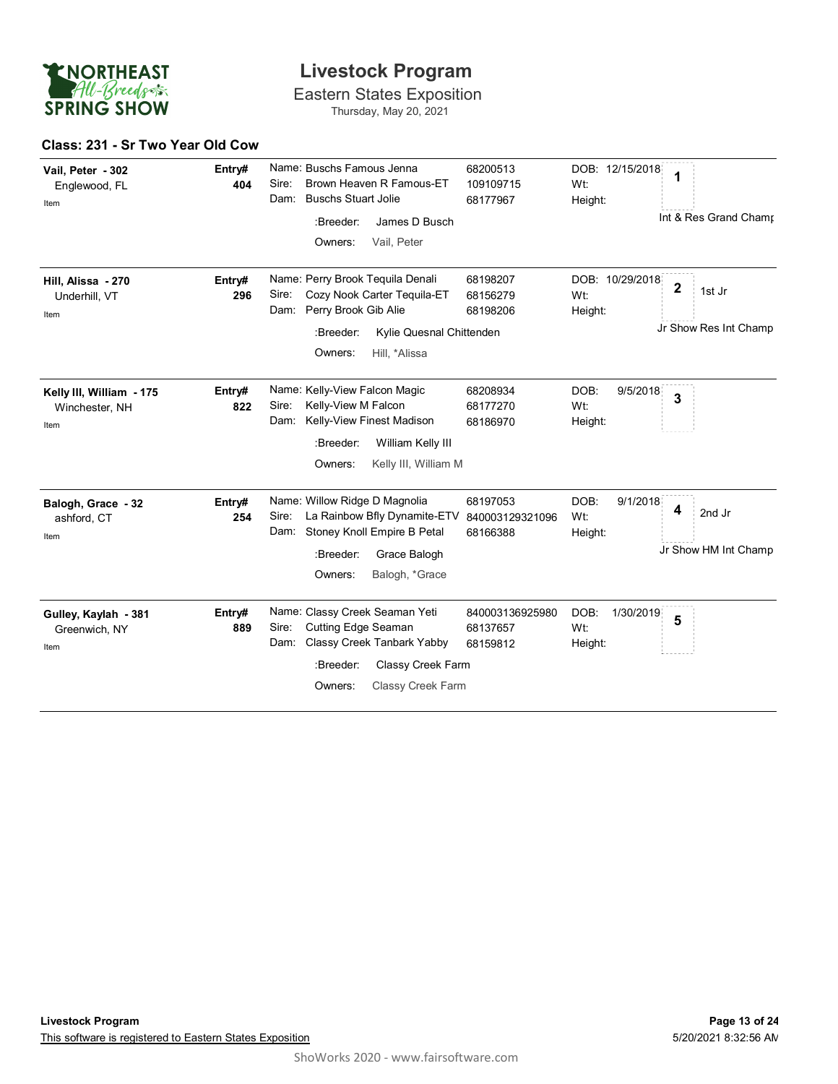

Eastern States Exposition Thursday, May 20, 2021

#### **Class: 231 - Sr Two Year Old Cow**

| Vail, Peter - 302<br>Englewood, FL<br>Item         | Entry#<br>404 | Name: Buschs Famous Jenna<br>Brown Heaven R Famous-ET<br>Sire:<br><b>Buschs Stuart Jolie</b><br>Dam:<br>:Breeder:<br>James D Busch<br>Owners:<br>Vail, Peter                         | 68200513<br>109109715<br>68177967       | DOB: 12/15/2018<br>Wt:<br>Height:   | 1<br>Int & Res Grand Chamr                     |
|----------------------------------------------------|---------------|--------------------------------------------------------------------------------------------------------------------------------------------------------------------------------------|-----------------------------------------|-------------------------------------|------------------------------------------------|
| Hill, Alissa - 270<br>Underhill, VT<br>Item        | Entry#<br>296 | Name: Perry Brook Tequila Denali<br>Cozy Nook Carter Tequila-ET<br>Sire:<br>Perry Brook Gib Alie<br>Dam:<br>:Breeder:<br>Kylie Quesnal Chittenden<br>Owners:<br>Hill, *Alissa        | 68198207<br>68156279<br>68198206        | DOB: 10/29/2018<br>Wt:<br>Height:   | $\mathbf 2$<br>1st Jr<br>Jr Show Res Int Champ |
| Kelly III, William - 175<br>Winchester, NH<br>Item | Entry#<br>822 | Name: Kelly-View Falcon Magic<br>Sire:<br>Kelly-View M Falcon<br>Kelly-View Finest Madison<br>Dam:<br>William Kelly III<br>:Breeder:<br>Owners:<br>Kelly III, William M              | 68208934<br>68177270<br>68186970        | DOB:<br>9/5/2018<br>Wt:<br>Height:  | 3                                              |
| Balogh, Grace - 32<br>ashford, CT<br>Item          | Entry#<br>254 | Name: Willow Ridge D Magnolia<br>Sire:<br>La Rainbow Bfly Dynamite-ETV 840003129321096<br>Dam: Stoney Knoll Empire B Petal<br>:Breeder:<br>Grace Balogh<br>Owners:<br>Balogh, *Grace | 68197053<br>68166388                    | DOB:<br>9/1/2018<br>Wt:<br>Height:  | 4<br>2nd Jr<br>Jr Show HM Int Champ            |
| Gulley, Kaylah - 381<br>Greenwich, NY<br>Item      | Entry#<br>889 | Name: Classy Creek Seaman Yeti<br>Cutting Edge Seaman<br>Sire:<br>Classy Creek Tanbark Yabby<br>Dam:<br>:Breeder:<br>Classy Creek Farm<br><b>Classy Creek Farm</b><br>Owners:        | 840003136925980<br>68137657<br>68159812 | DOB:<br>1/30/2019<br>Wt:<br>Height: | 5                                              |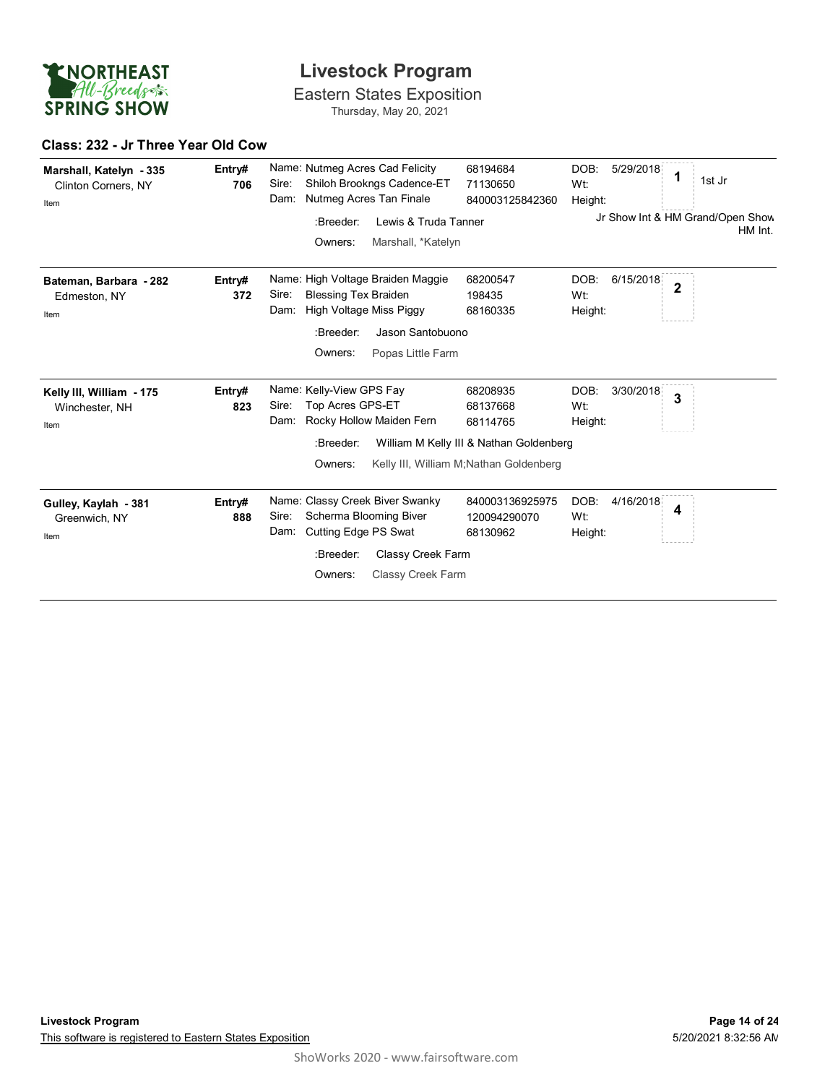

Eastern States Exposition Thursday, May 20, 2021

#### **Class: 232 - Jr Three Year Old Cow**

| Marshall, Katelyn - 335<br>Clinton Corners, NY<br>Item | Entry#<br>706 | Sire:<br>Dam: | Nutmeg Acres Tan Finale                                                        | Name: Nutmeg Acres Cad Felicity<br>Shiloh Brookngs Cadence-ET              | 68194684<br>71130650<br>840003125842360                                                                                | DOB:<br>Wt:<br>Height:             | 5/29/2018 | 1              | 1st Jr                                      |
|--------------------------------------------------------|---------------|---------------|--------------------------------------------------------------------------------|----------------------------------------------------------------------------|------------------------------------------------------------------------------------------------------------------------|------------------------------------|-----------|----------------|---------------------------------------------|
|                                                        |               |               | :Breeder:<br>Owners:                                                           | Lewis & Truda Tanner<br>Marshall, *Katelyn                                 |                                                                                                                        |                                    |           |                | Jr Show Int & HM Grand/Open Show<br>HM Int. |
|                                                        |               |               |                                                                                |                                                                            |                                                                                                                        |                                    |           |                |                                             |
| Bateman, Barbara - 282<br>Edmeston, NY<br>Item         | Entry#<br>372 | Sire:<br>Dam: | <b>Blessing Tex Braiden</b><br>High Voltage Miss Piggy<br>:Breeder:<br>Owners: | Name: High Voltage Braiden Maggie<br>Jason Santobuono<br>Popas Little Farm | 68200547<br>198435<br>68160335                                                                                         | DOB:<br>Wt:<br>Height:             | 6/15/2018 | $\overline{2}$ |                                             |
| Kelly III, William - 175<br>Winchester, NH<br>Item     | Entry#<br>823 | Sire:<br>Dam: | Name: Kelly-View GPS Fay<br>Top Acres GPS-ET<br>:Breeder:<br>Owners:           | Rocky Hollow Maiden Fern                                                   | 68208935<br>68137668<br>68114765<br>William M Kelly III & Nathan Goldenberg<br>Kelly III, William M; Nathan Goldenberg | DOB:<br>Wt:<br>Height:             | 3/30/2018 | 3              |                                             |
| Gulley, Kaylah - 381<br>Greenwich, NY<br>Item          | Entry#<br>888 | Sire:<br>Dam: | Scherma Blooming Biver<br>Cutting Edge PS Swat<br>:Breeder:<br>Owners:         | Name: Classy Creek Biver Swanky<br>Classy Creek Farm<br>Classy Creek Farm  | 840003136925975<br>120094290070<br>68130962                                                                            | DOB:<br>W <sub>t:</sub><br>Height: | 4/16/2018 | 4              |                                             |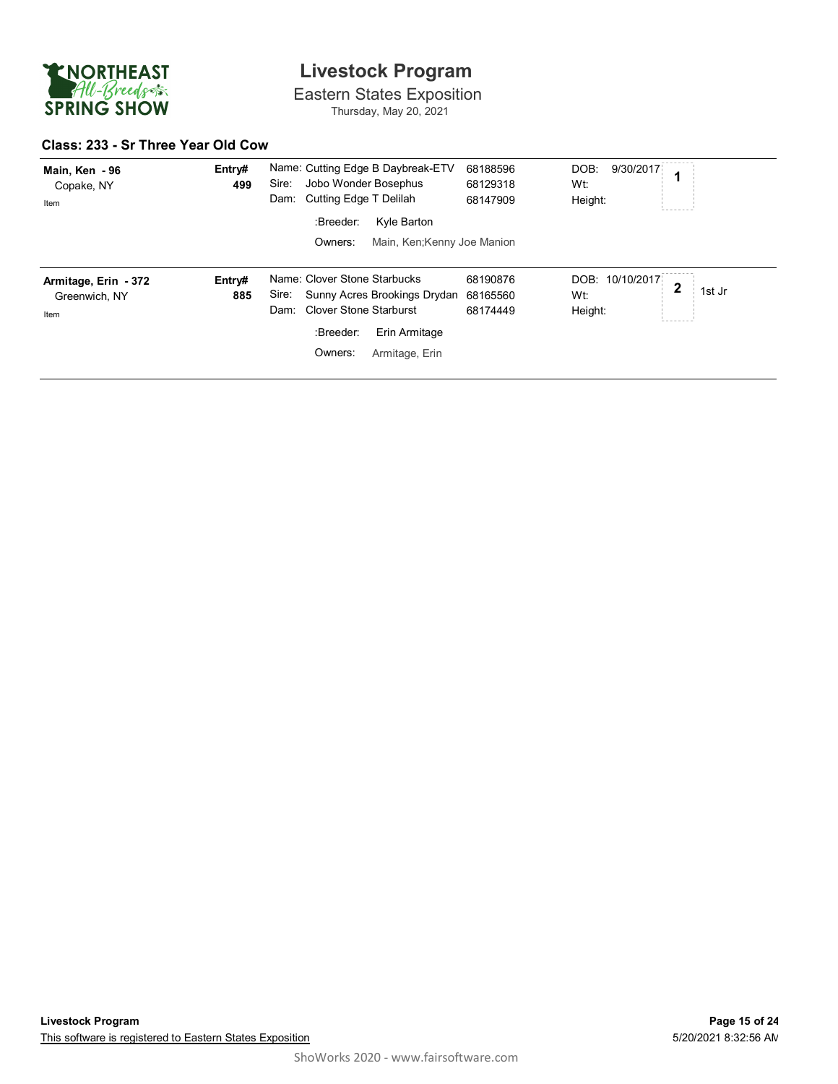

Eastern States Exposition Thursday, May 20, 2021

#### **Class: 233 - Sr Three Year Old Cow**

| Main, Ken - 96<br>Copake, NY<br>Item          | Entry#<br>499 | Name: Cutting Edge B Daybreak-ETV<br>Jobo Wonder Bosephus<br>Sire:<br>Cutting Edge T Delilah<br>Dam:<br>:Breeder:<br>Kyle Barton<br>Owners:<br>Main, Ken; Kenny Joe Manion | 68188596<br>68129318<br>68147909 | DOB:<br>9/30/2017<br>Wt:<br>Height: |        |
|-----------------------------------------------|---------------|----------------------------------------------------------------------------------------------------------------------------------------------------------------------------|----------------------------------|-------------------------------------|--------|
| Armitage, Erin - 372<br>Greenwich, NY<br>Item | Entry#<br>885 | Name: Clover Stone Starbucks<br>Sunny Acres Brookings Drydan<br>Sire:<br><b>Clover Stone Starburst</b><br>Dam:<br>:Breeder:<br>Erin Armitage<br>Owners:<br>Armitage, Erin  | 68190876<br>68165560<br>68174449 | DOB: 10/10/2017<br>Wt:<br>Height:   | 1st Jr |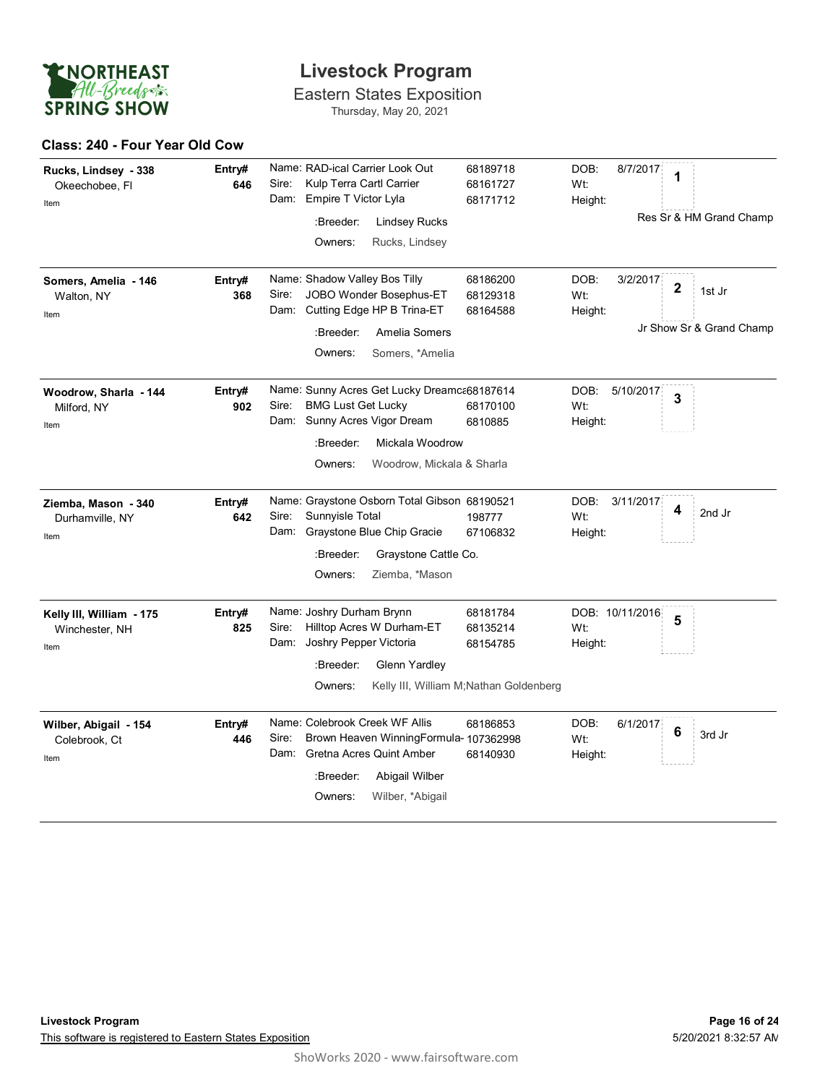

Eastern States Exposition Thursday, May 20, 2021

#### **Class: 240 - Four Year Old Cow**

| Rucks, Lindsey - 338<br>Okeechobee, Fl<br>Item     | Entry#<br>646 | Name: RAD-ical Carrier Look Out<br>Sire:<br>Kulp Terra Cartl Carrier<br>Empire T Victor Lyla<br>Dam:<br>:Breeder:<br><b>Lindsey Rucks</b><br>Owners:<br>Rucks, Lindsey                    | 68189718<br>68161727<br>68171712                                           | DOB:<br>8/7/2017<br>Wt:<br>Height:  | 1<br>Res Sr & HM Grand Champ                      |
|----------------------------------------------------|---------------|-------------------------------------------------------------------------------------------------------------------------------------------------------------------------------------------|----------------------------------------------------------------------------|-------------------------------------|---------------------------------------------------|
| Somers, Amelia - 146<br>Walton, NY<br>Item         | Entry#<br>368 | Name: Shadow Valley Bos Tilly<br>Sire:<br>JOBO Wonder Bosephus-ET<br>Cutting Edge HP B Trina-ET<br>Dam:<br>:Breeder:<br>Amelia Somers<br>Owners:<br>Somers, *Amelia                       | 68186200<br>68129318<br>68164588                                           | DOB:<br>3/2/2017<br>Wt:<br>Height:  | $\mathbf 2$<br>1st Jr<br>Jr Show Sr & Grand Champ |
| Woodrow, Sharla - 144<br>Milford, NY<br>Item       | Entry#<br>902 | Name: Sunny Acres Get Lucky Dreamc 68187614<br><b>BMG Lust Get Lucky</b><br>Sire:<br>Dam: Sunny Acres Vigor Dream<br>:Breeder:<br>Mickala Woodrow<br>Owners:<br>Woodrow, Mickala & Sharla | 68170100<br>6810885                                                        | DOB:<br>5/10/2017<br>Wt:<br>Height: | 3                                                 |
| Ziemba, Mason - 340<br>Durhamville, NY<br>Item     | Entry#<br>642 | Name: Graystone Osborn Total Gibson 68190521<br>Sunnyisle Total<br>Sire:<br>Graystone Blue Chip Gracie<br>Dam:<br>:Breeder:<br>Graystone Cattle Co.<br>Ziemba, *Mason<br>Owners:          | 198777<br>67106832                                                         | DOB:<br>3/11/2017<br>Wt:<br>Height: | 4<br>2nd Jr                                       |
| Kelly III, William - 175<br>Winchester, NH<br>Item | Entry#<br>825 | Name: Joshry Durham Brynn<br>Hilltop Acres W Durham-ET<br>Sire:<br>Joshry Pepper Victoria<br>Dam:<br>:Breeder:<br>Glenn Yardley<br>Owners:                                                | 68181784<br>68135214<br>68154785<br>Kelly III, William M;Nathan Goldenberg | DOB: 10/11/2016<br>Wt:<br>Height:   | 5                                                 |
| Wilber, Abigail - 154<br>Colebrook, Ct<br>Item     | Entry#<br>446 | Name: Colebrook Creek WF Allis<br>Sire:<br>Brown Heaven WinningFormula- 107362998<br>Dam:<br>Gretna Acres Quint Amber<br>:Breeder:<br>Abigail Wilber<br>Owners:<br>Wilber, *Abigail       | 68186853<br>68140930                                                       | DOB:<br>6/1/2017<br>Wt:<br>Height:  | 6<br>3rd Jr                                       |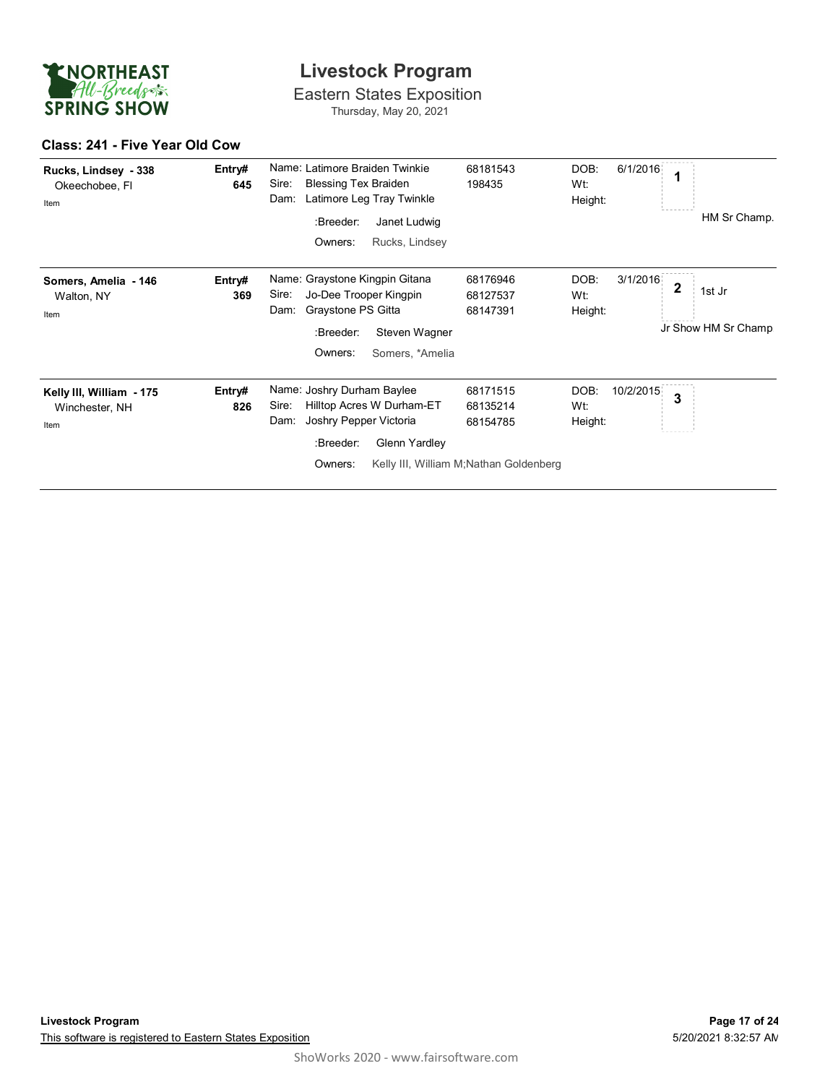

Eastern States Exposition Thursday, May 20, 2021

#### **Class: 241 - Five Year Old Cow**

| Rucks, Lindsey - 338<br>Okeechobee, Fl<br>Item     | Entry#<br>645 | Name: Latimore Braiden Twinkie<br><b>Blessing Tex Braiden</b><br>Sire:<br>Latimore Leg Tray Twinkle<br>Dam:<br>:Breeder:<br>Janet Ludwig<br>Owners:<br>Rucks, Lindsey | 68181543<br>198435                                                          | DOB:<br>6/1/2016<br>1<br>Wt:<br>Height:<br>HM Sr Champ.                                         |
|----------------------------------------------------|---------------|-----------------------------------------------------------------------------------------------------------------------------------------------------------------------|-----------------------------------------------------------------------------|-------------------------------------------------------------------------------------------------|
| Somers, Amelia - 146<br>Walton, NY<br>Item         | Entry#<br>369 | Name: Graystone Kingpin Gitana<br>Sire:<br>Jo-Dee Trooper Kingpin<br>Graystone PS Gitta<br>Dam:<br>:Breeder:<br>Steven Wagner<br>Owners:<br>Somers, *Amelia           | 68176946<br>68127537<br>68147391                                            | DOB:<br>3/1/2016<br>$\overline{\mathbf{2}}$<br>1st Jr<br>Wt:<br>Height:<br>Jr Show HM Sr Champ. |
| Kelly III, William - 175<br>Winchester, NH<br>Item | Entry#<br>826 | Name: Joshry Durham Baylee<br>Sire:<br>Hilltop Acres W Durham-ET<br>Joshry Pepper Victoria<br>Dam:<br>Glenn Yardley<br>:Breeder:<br>Owners:                           | 68171515<br>68135214<br>68154785<br>Kelly III, William M; Nathan Goldenberg | DOB:<br>10/2/2015<br>3<br>Wt:<br>Height:                                                        |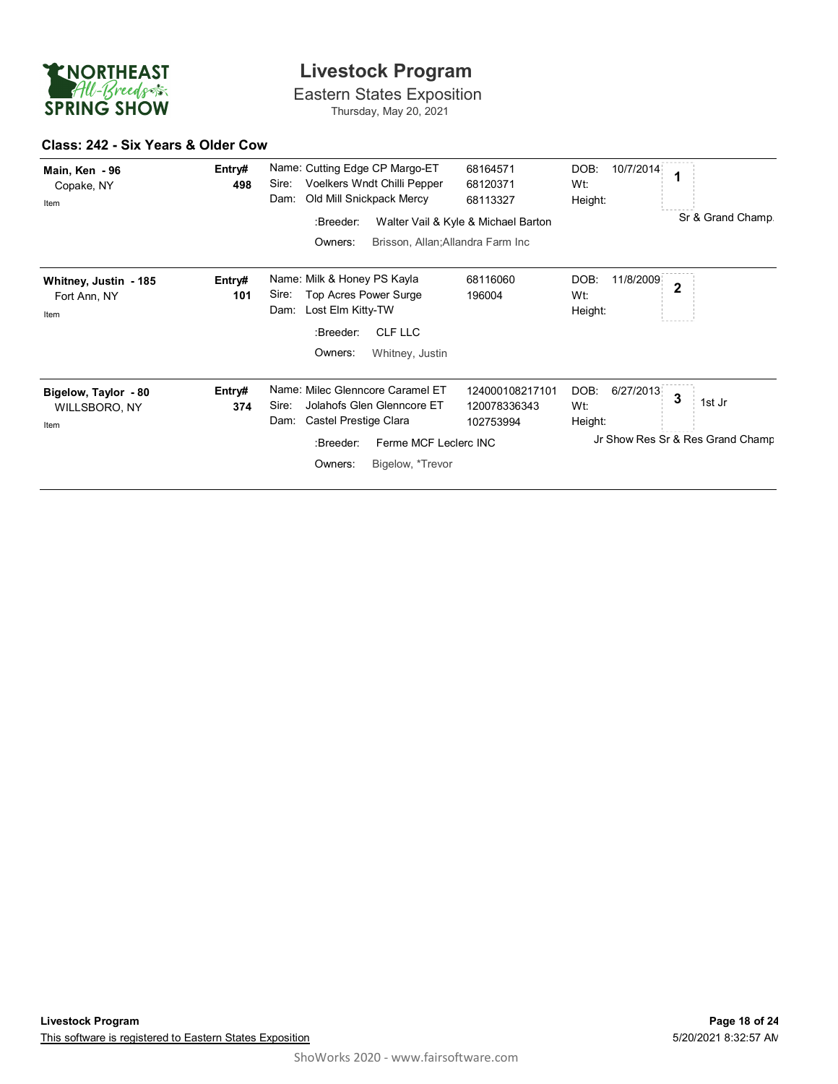

Eastern States Exposition Thursday, May 20, 2021

#### **Class: 242 - Six Years & Older Cow**

| Main, Ken - 96<br>Copake, NY<br>Item          | Entry#<br>498 | Name: Cutting Edge CP Margo-ET<br>Sire:<br>Voelkers Wndt Chilli Pepper<br>Old Mill Snickpack Mercy<br>Dam:                                                                    | 68164571<br>68120371<br>68113327             | DOB:<br>10/7/2014<br>Wt:<br>Height: | 1                                               |
|-----------------------------------------------|---------------|-------------------------------------------------------------------------------------------------------------------------------------------------------------------------------|----------------------------------------------|-------------------------------------|-------------------------------------------------|
|                                               |               | :Breeder:<br>Owners:<br>Brisson, Allan; Allandra Farm Inc.                                                                                                                    | Walter Vail & Kyle & Michael Barton          |                                     | Sr & Grand Champ.                               |
| Whitney, Justin - 185<br>Fort Ann, NY<br>Item | Entry#<br>101 | Name: Milk & Honey PS Kayla<br>Top Acres Power Surge<br>Sire:<br>Lost Elm Kitty-TW<br>Dam:<br>CLF LLC<br>:Breeder:<br>Owners:<br>Whitney, Justin                              | 68116060<br>196004                           | 11/8/2009<br>DOB:<br>Wt:<br>Height: | $\overline{2}$                                  |
| Bigelow, Taylor - 80<br>WILLSBORO, NY<br>Item | Entry#<br>374 | Name: Milec Glenncore Caramel ET<br>Jolahofs Glen Glenncore ET<br>Sire:<br>Castel Prestige Clara<br>Dam:<br>Ferme MCF Leclerc INC<br>:Breeder:<br>Owners:<br>Bigelow, *Trevor | 124000108217101<br>120078336343<br>102753994 | DOB:<br>6/27/2013<br>Wt:<br>Height: | 3<br>1st Jr<br>Jr Show Res Sr & Res Grand Champ |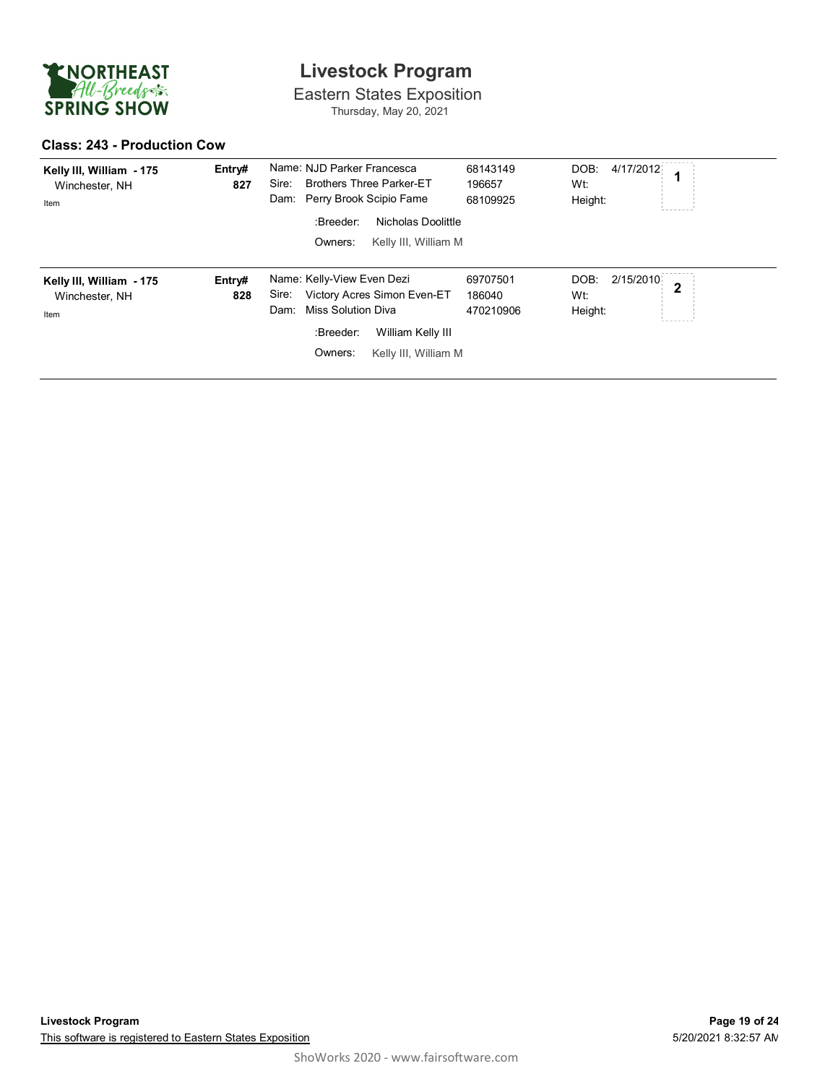

Eastern States Exposition Thursday, May 20, 2021

#### **Class: 243 - Production Cow**

| Kelly III, William - 175<br>Winchester, NH<br>Item | Entry#<br>827 | Name: NJD Parker Francesca<br><b>Brothers Three Parker-ET</b><br>Sire:<br>Dam: Perry Brook Scipio Fame<br>Nicholas Doolittle<br>:Breeder:<br>Owners:<br>Kelly III, William M | 68143149<br>196657<br>68109925  | DOB:<br>4/17/2012<br>Wt:<br>Height: |              |
|----------------------------------------------------|---------------|------------------------------------------------------------------------------------------------------------------------------------------------------------------------------|---------------------------------|-------------------------------------|--------------|
| Kelly III, William - 175<br>Winchester, NH<br>Item | Entry#<br>828 | Name: Kelly-View Even Dezi<br>Victory Acres Simon Even-ET<br>Sire:<br><b>Miss Solution Diva</b><br>Dam:<br>:Breeder:<br>William Kelly III<br>Owners:<br>Kelly III, William M | 69707501<br>186040<br>470210906 | 2/15/2010<br>DOB:<br>Wt:<br>Height: | $\mathbf{2}$ |